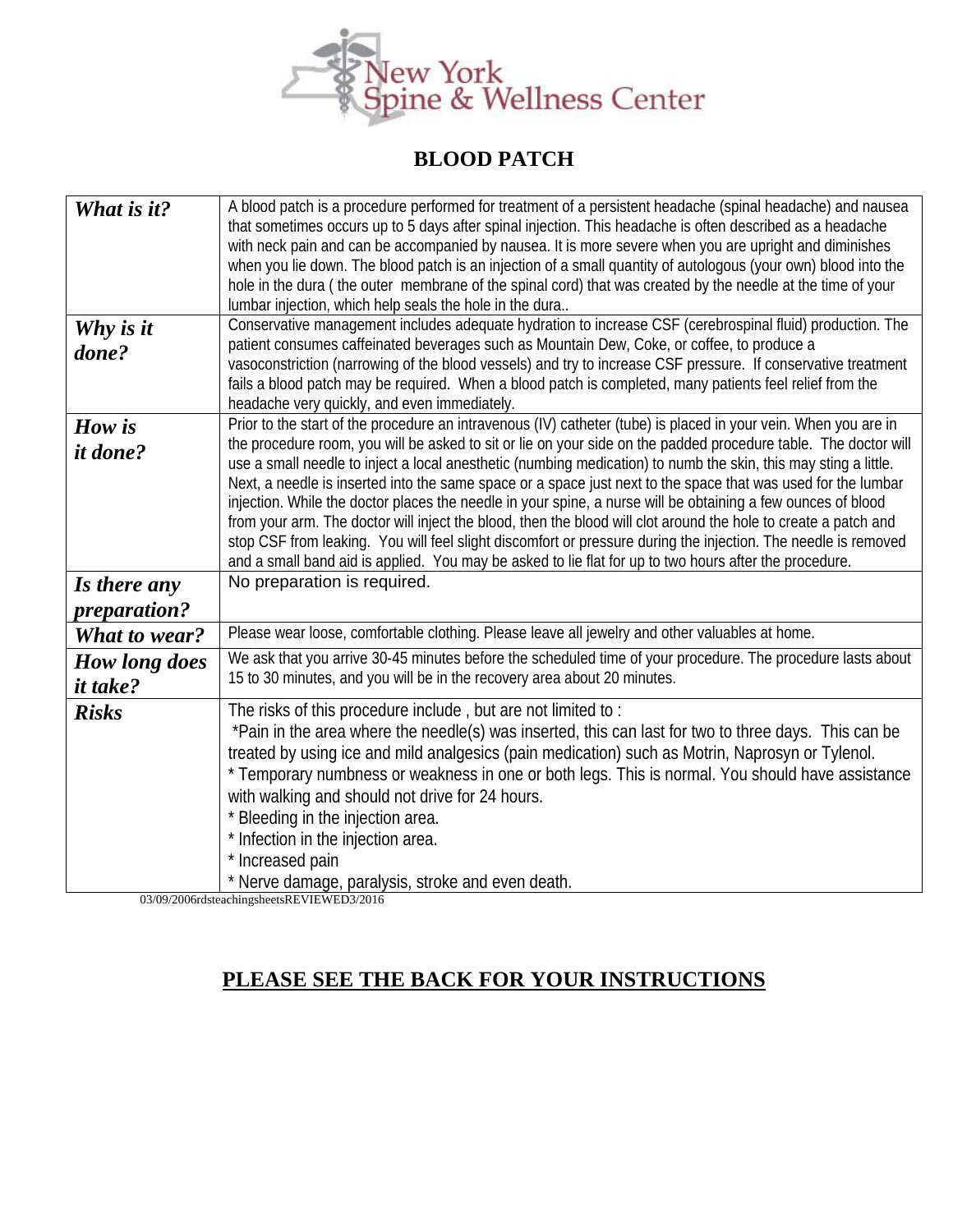

## **BLOOD PATCH**

| What is it?          | A blood patch is a procedure performed for treatment of a persistent headache (spinal headache) and nausea      |
|----------------------|-----------------------------------------------------------------------------------------------------------------|
|                      | that sometimes occurs up to 5 days after spinal injection. This headache is often described as a headache       |
|                      | with neck pain and can be accompanied by nausea. It is more severe when you are upright and diminishes          |
|                      | when you lie down. The blood patch is an injection of a small quantity of autologous (your own) blood into the  |
|                      | hole in the dura (the outer membrane of the spinal cord) that was created by the needle at the time of your     |
|                      | lumbar injection, which help seals the hole in the dura                                                         |
| Why is it            | Conservative management includes adequate hydration to increase CSF (cerebrospinal fluid) production. The       |
| done?                | patient consumes caffeinated beverages such as Mountain Dew, Coke, or coffee, to produce a                      |
|                      | vasoconstriction (narrowing of the blood vessels) and try to increase CSF pressure. If conservative treatment   |
|                      | fails a blood patch may be required. When a blood patch is completed, many patients feel relief from the        |
|                      | headache very quickly, and even immediately.                                                                    |
| How is               | Prior to the start of the procedure an intravenous (IV) catheter (tube) is placed in your vein. When you are in |
| <i>it done?</i>      | the procedure room, you will be asked to sit or lie on your side on the padded procedure table. The doctor will |
|                      | use a small needle to inject a local anesthetic (numbing medication) to numb the skin, this may sting a little. |
|                      | Next, a needle is inserted into the same space or a space just next to the space that was used for the lumbar   |
|                      | injection. While the doctor places the needle in your spine, a nurse will be obtaining a few ounces of blood    |
|                      | from your arm. The doctor will inject the blood, then the blood will clot around the hole to create a patch and |
|                      | stop CSF from leaking. You will feel slight discomfort or pressure during the injection. The needle is removed  |
|                      | and a small band aid is applied. You may be asked to lie flat for up to two hours after the procedure.          |
| Is there any         | No preparation is required.                                                                                     |
| <i>preparation?</i>  |                                                                                                                 |
| What to wear?        | Please wear loose, comfortable clothing. Please leave all jewelry and other valuables at home.                  |
| <b>How long does</b> | We ask that you arrive 30-45 minutes before the scheduled time of your procedure. The procedure lasts about     |
| <i>it take?</i>      | 15 to 30 minutes, and you will be in the recovery area about 20 minutes.                                        |
| <b>Risks</b>         | The risks of this procedure include, but are not limited to:                                                    |
|                      | *Pain in the area where the needle(s) was inserted, this can last for two to three days. This can be            |
|                      | treated by using ice and mild analgesics (pain medication) such as Motrin, Naprosyn or Tylenol.                 |
|                      | * Temporary numbness or weakness in one or both legs. This is normal. You should have assistance                |
|                      | with walking and should not drive for 24 hours.                                                                 |
|                      | Bleeding in the injection area.                                                                                 |
|                      | * Infection in the injection area.                                                                              |
|                      | * Increased pain                                                                                                |
|                      | * Nerve damage, paralysis, stroke and even death.                                                               |
|                      |                                                                                                                 |

03/09/2006rdsteachingsheetsREVIEWED3/2016

## **PLEASE SEE THE BACK FOR YOUR INSTRUCTIONS**